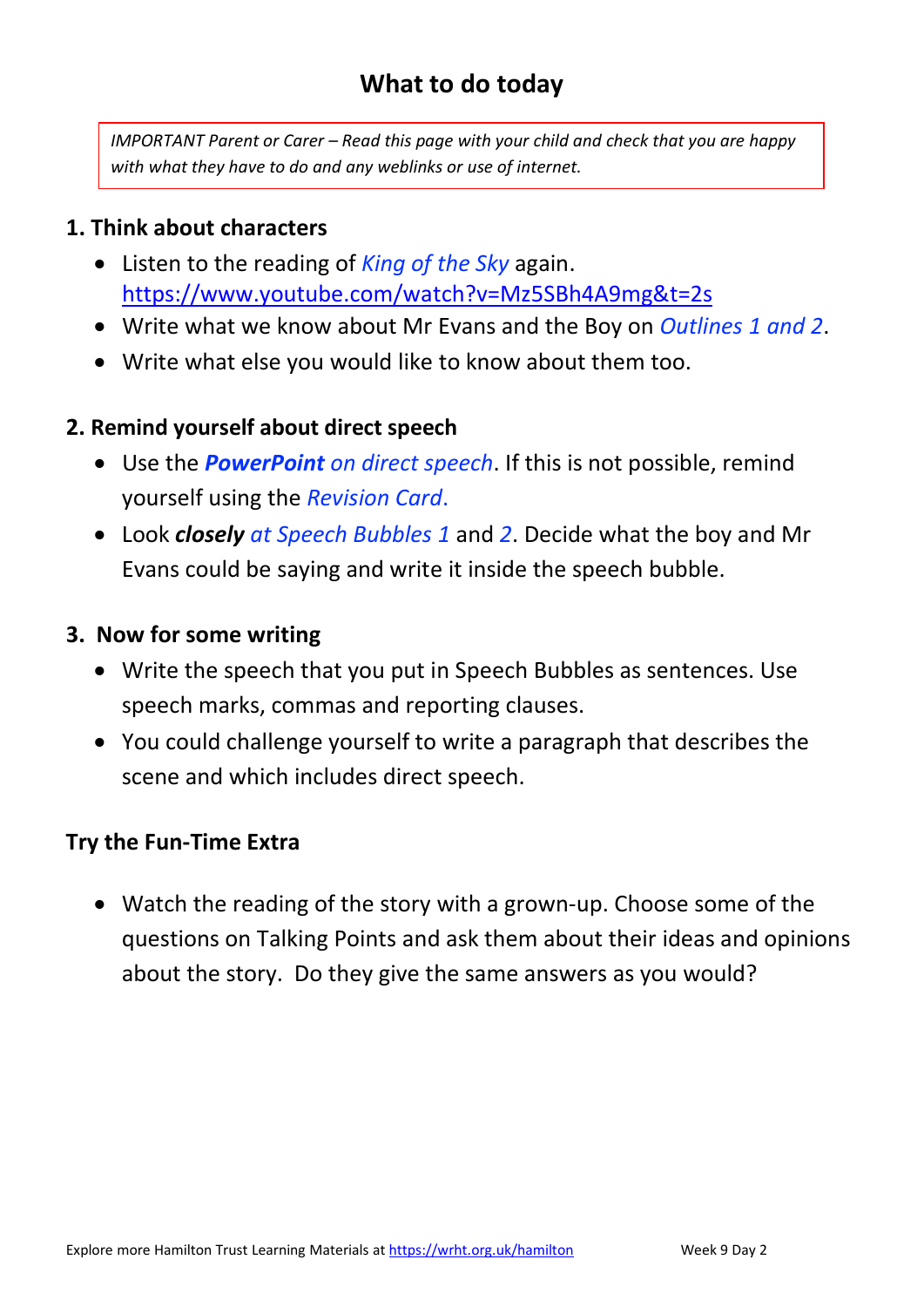# **What to do today**

*IMPORTANT Parent or Carer – Read this page with your child and check that you are happy with what they have to do and any weblinks or use of internet.* 

### **1. Think about characters**

- Listen to the reading of *King of the Sky* again. [https://www.youtube.com/watch?v=Mz5SBh4A9mg&t=2s](https://owa.hamilton-trust.org.uk/owa/redir.aspx?C=rEAFl0HPImeU8WW2p3_eLVxURygFpGAgVPeouWgzVDtufRToUfLXCA..&URL=https%3a%2f%2fyoutu.be%2fMz5SBh4A9mg)
- Write what we know about Mr Evans and the Boy on *Outlines 1 and 2*.
- Write what else you would like to know about them too.

### **2. Remind yourself about direct speech**

- Use the *PowerPoint on direct speech*. If this is not possible, remind yourself using the *Revision Card*.
- Look *closely at Speech Bubbles 1* and *2*. Decide what the boy and Mr Evans could be saying and write it inside the speech bubble.

#### **3. Now for some writing**

- Write the speech that you put in Speech Bubbles as sentences. Use speech marks, commas and reporting clauses.
- You could challenge yourself to write a paragraph that describes the scene and which includes direct speech.

#### **Try the Fun-Time Extra**

• Watch the reading of the story with a grown-up. Choose some of the questions on Talking Points and ask them about their ideas and opinions about the story. Do they give the same answers as you would?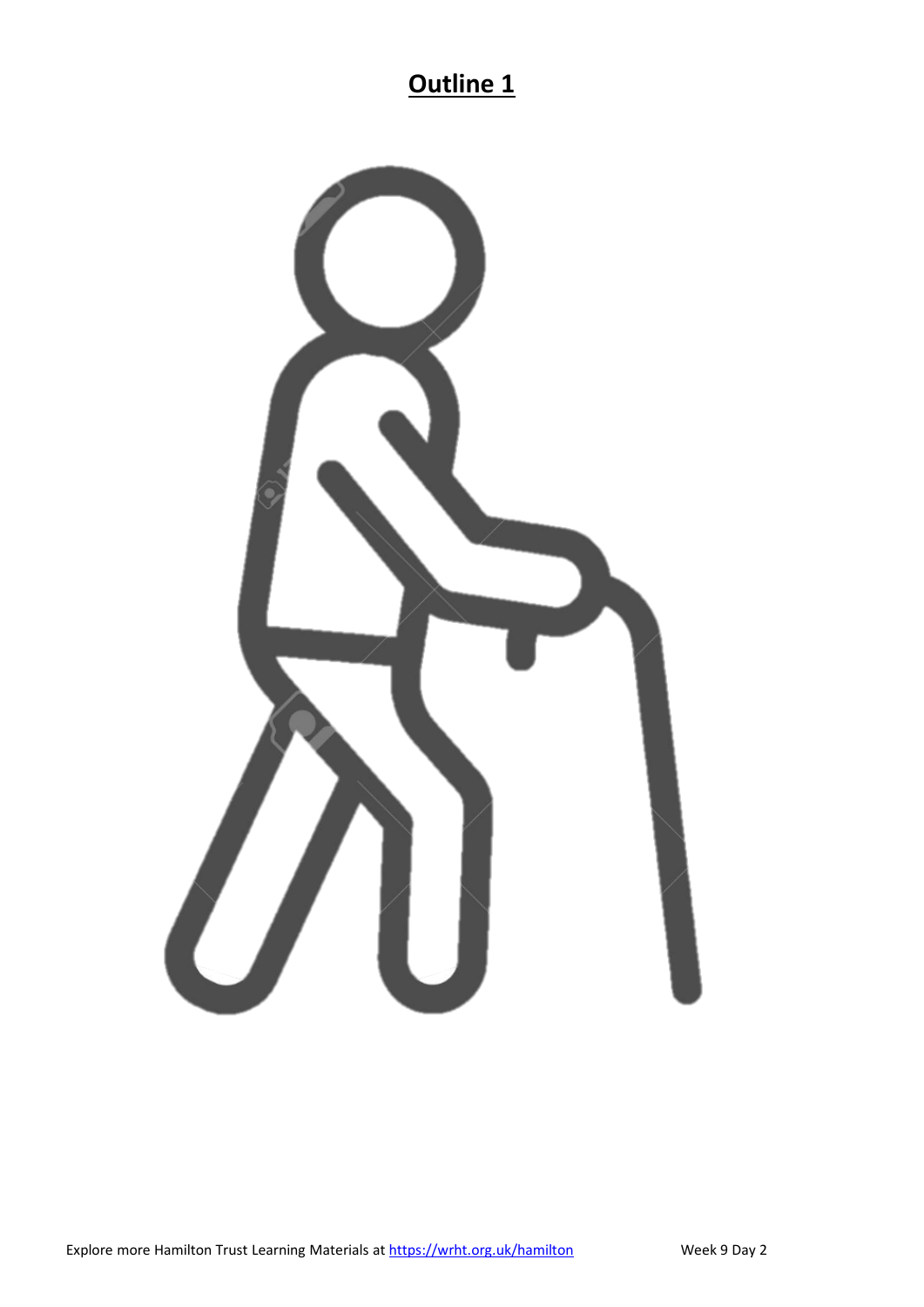# **Outline 1**

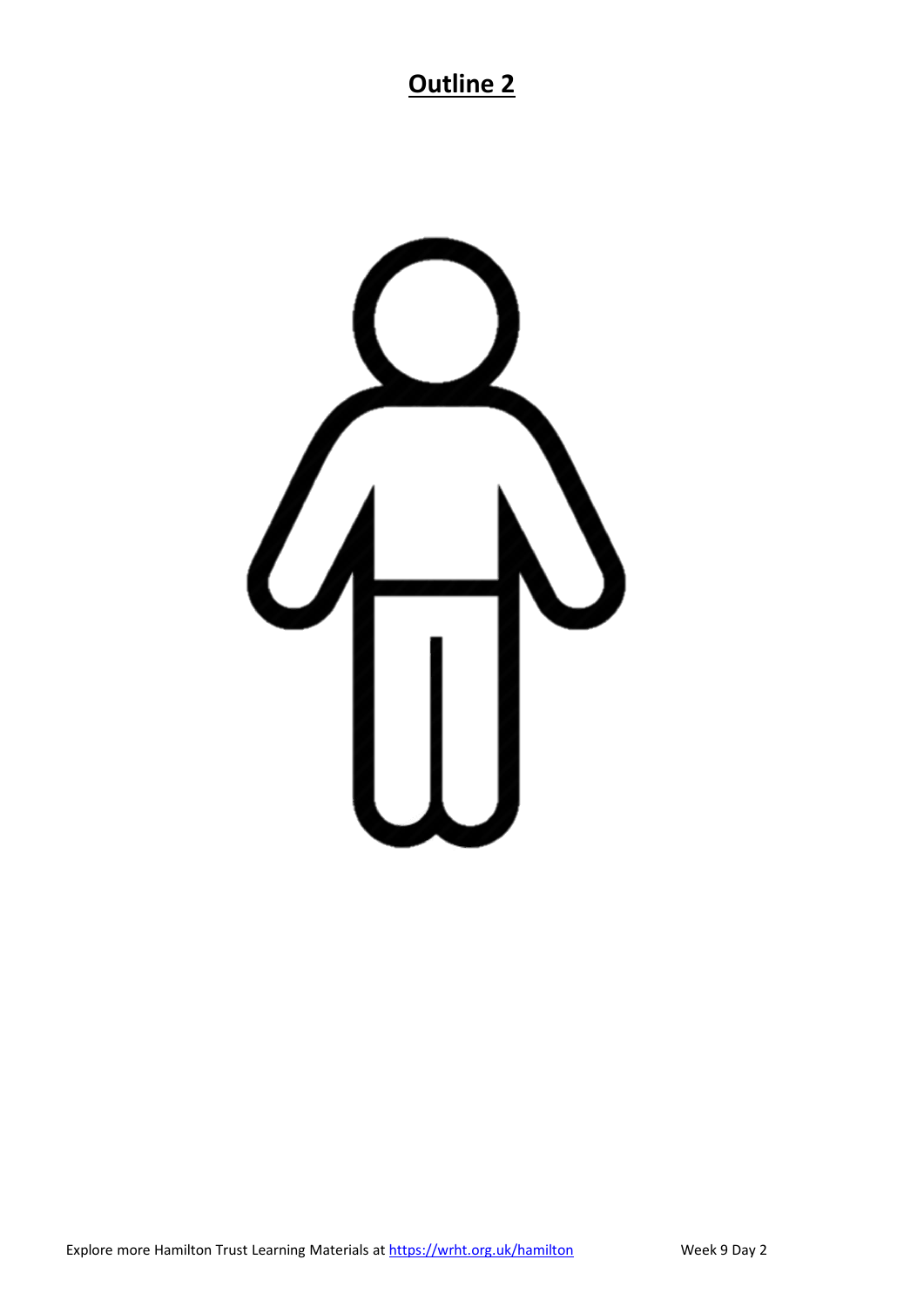# **Outline 2**

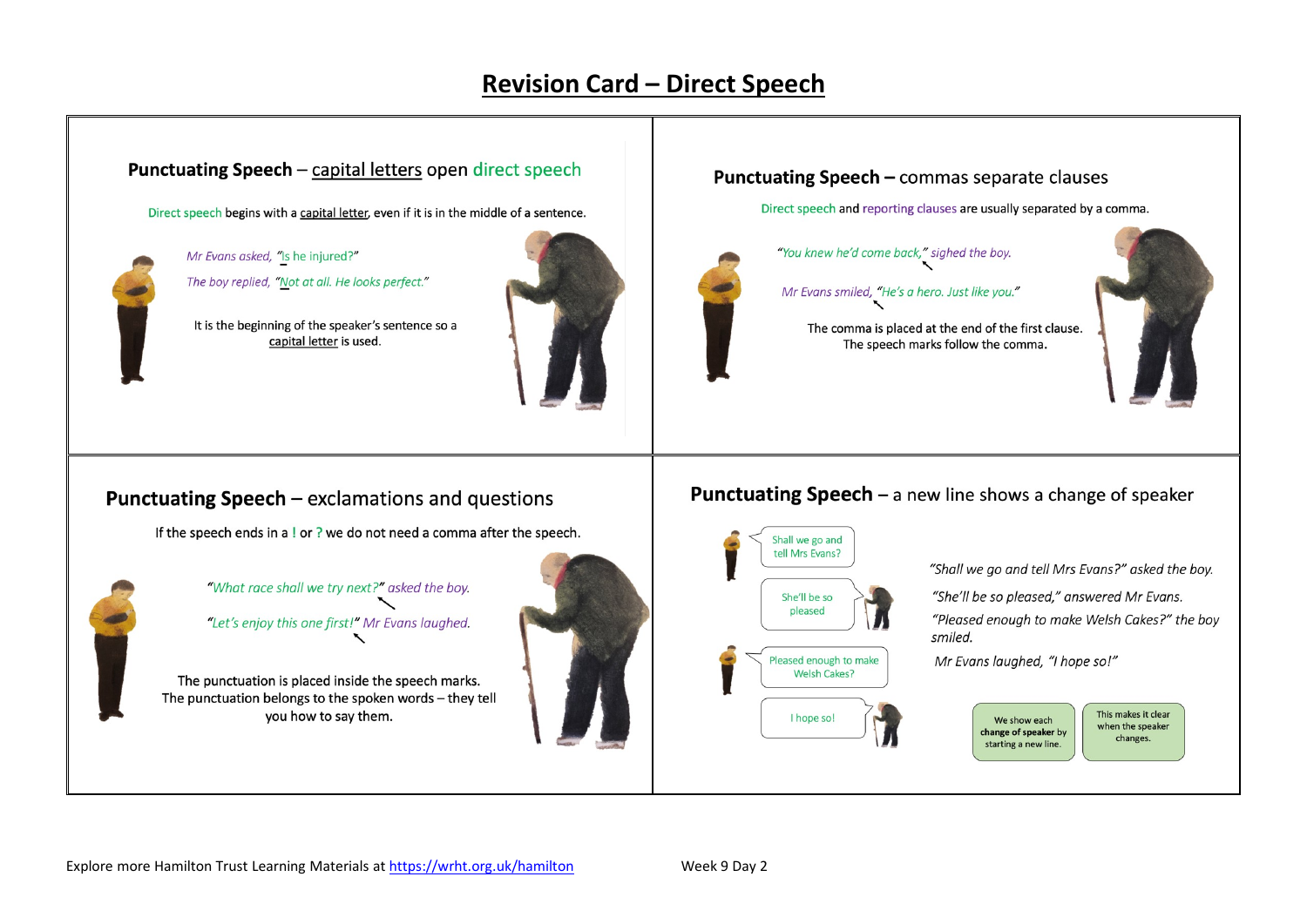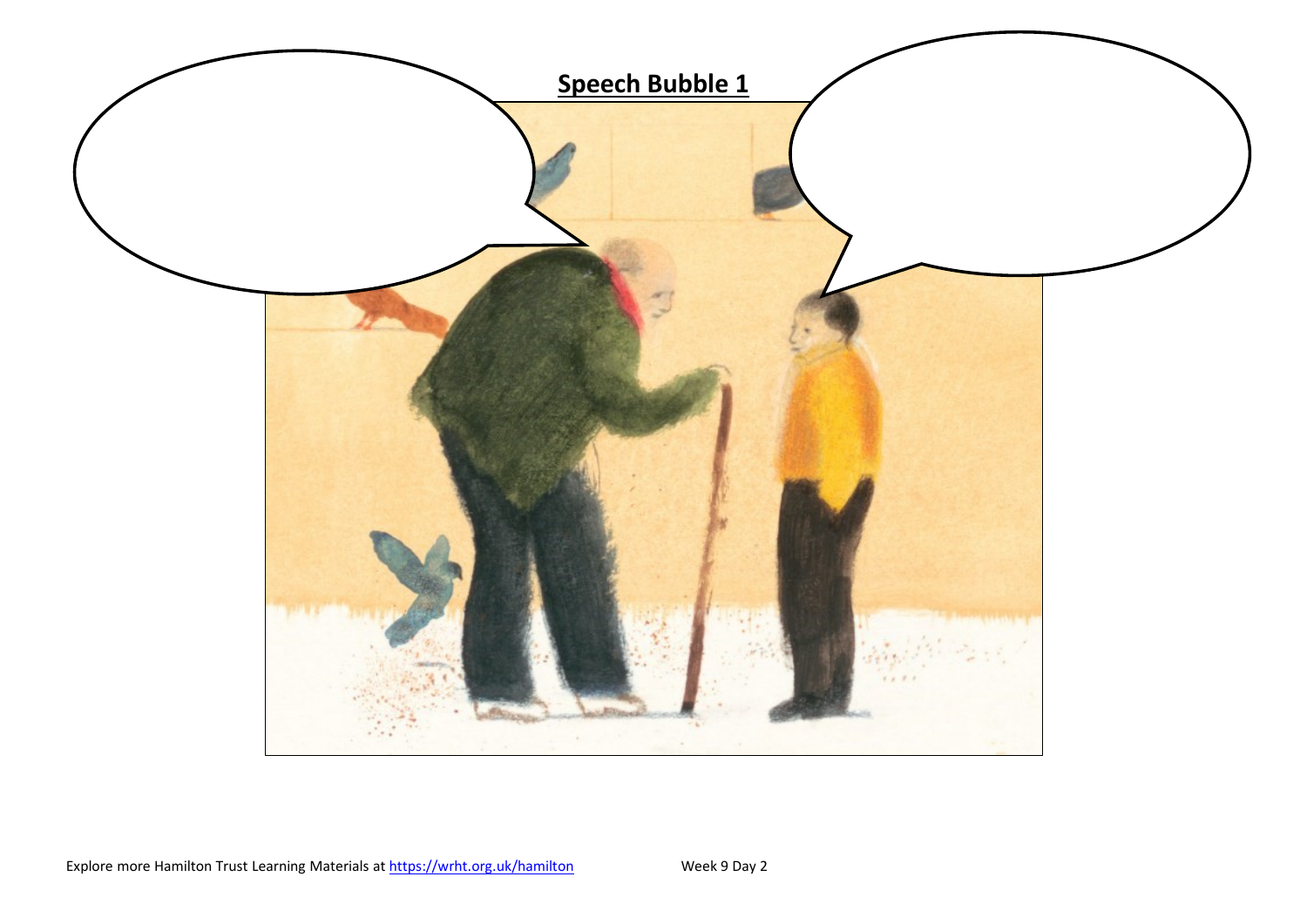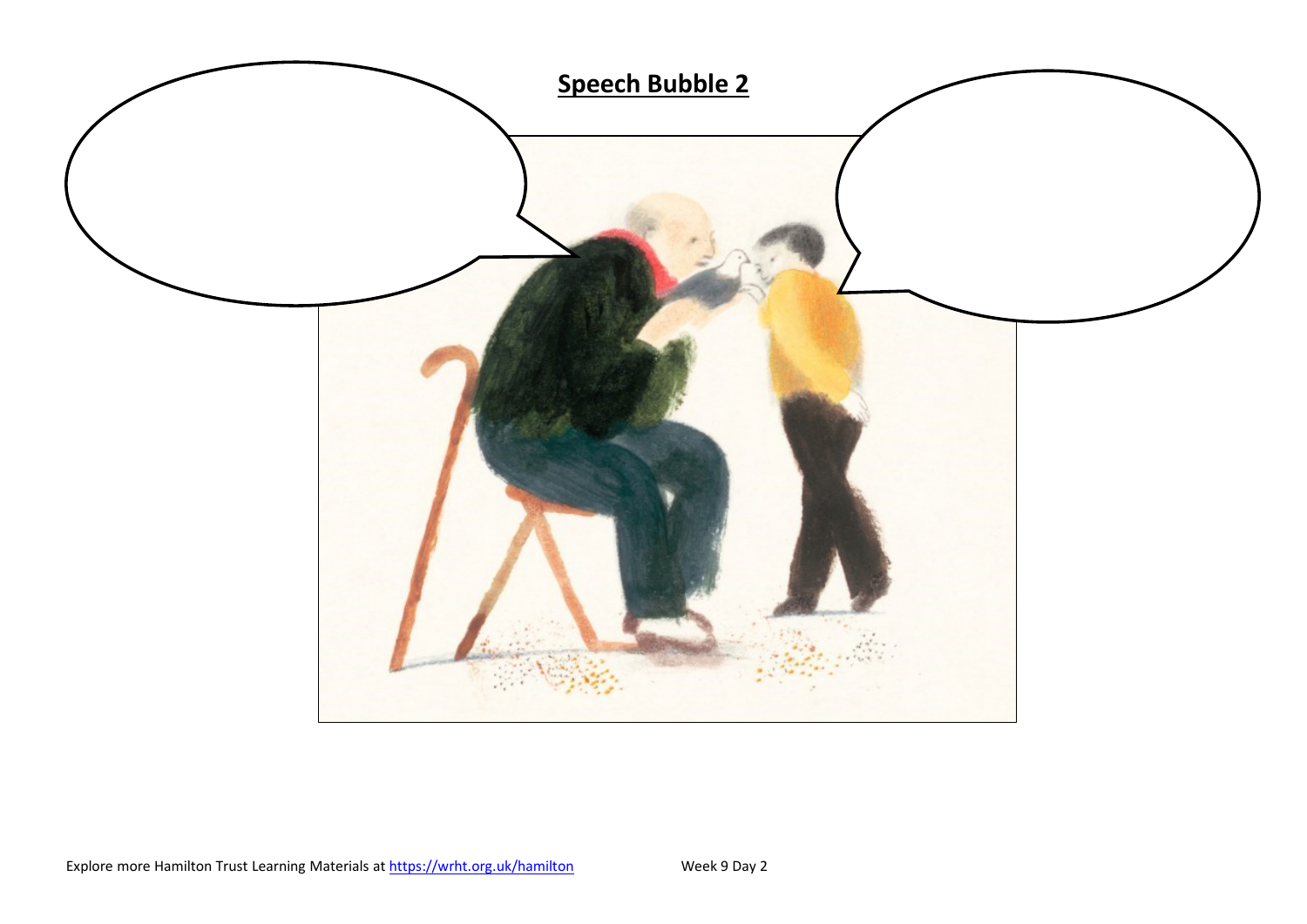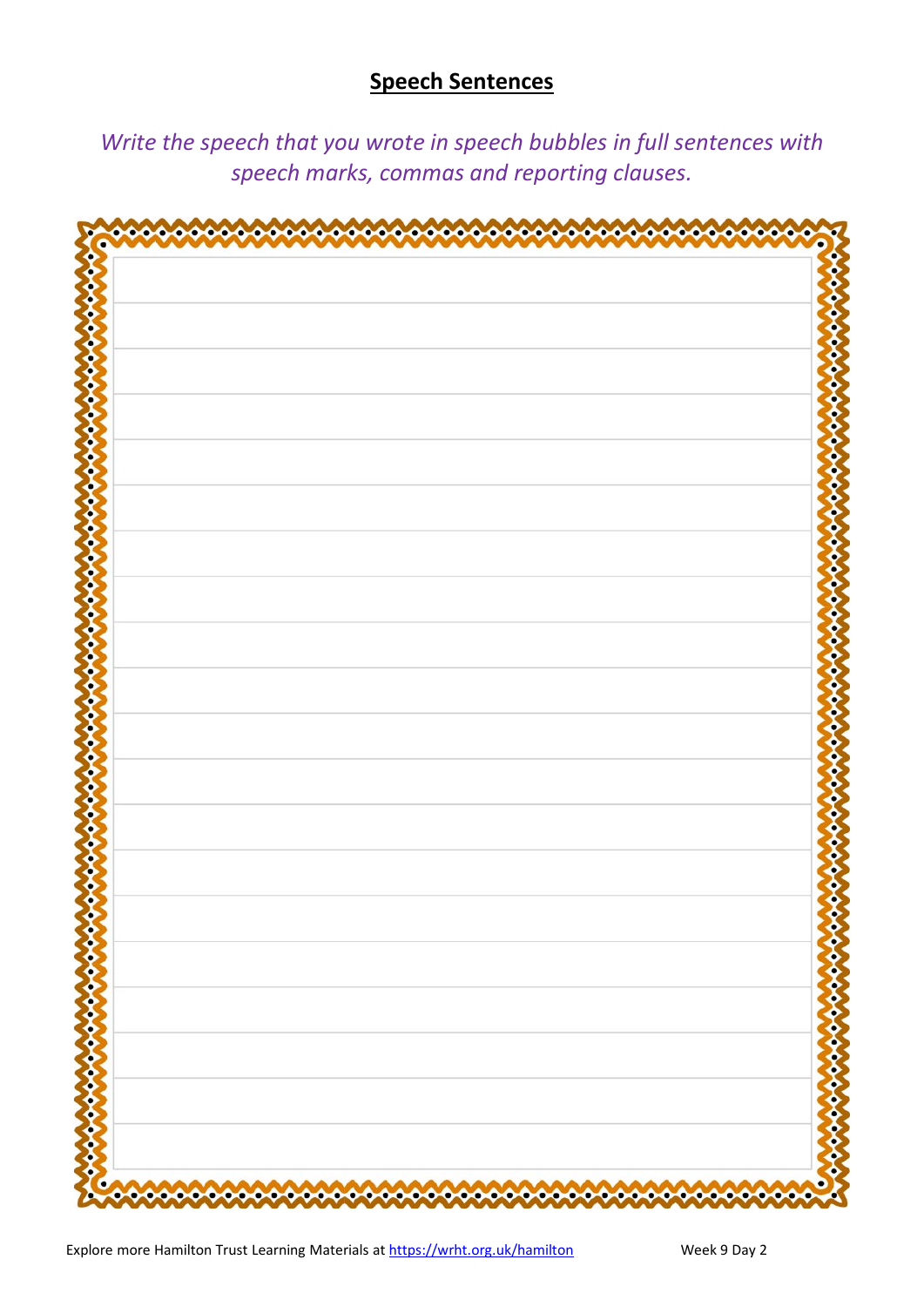## **Speech Sentences**

*Write the speech that you wrote in speech bubbles in full sentences with speech marks, commas and reporting clauses.* 

| ο                          |
|----------------------------|
| $\frac{2}{3}$              |
|                            |
|                            |
|                            |
|                            |
|                            |
|                            |
|                            |
|                            |
|                            |
|                            |
|                            |
|                            |
|                            |
|                            |
|                            |
|                            |
|                            |
|                            |
|                            |
|                            |
|                            |
|                            |
|                            |
|                            |
|                            |
|                            |
|                            |
| $\boldsymbol{\mathcal{E}}$ |
|                            |
| \$                         |
|                            |
|                            |
|                            |
|                            |
|                            |
| Seconds                    |
|                            |
| \$                         |
|                            |
|                            |
| ♦                          |